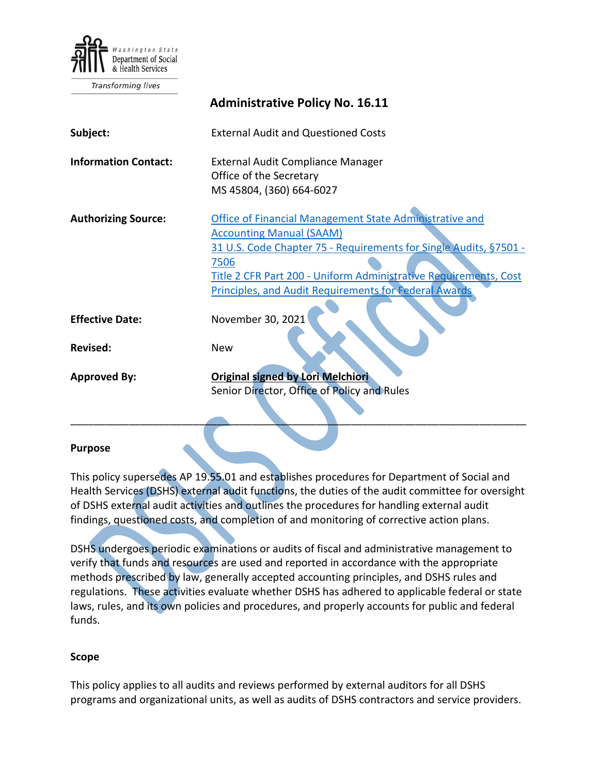

Transforming lives

|                             | <b>Administrative Policy No. 16.11</b>                                                                                                                                                                                                                                                                             |
|-----------------------------|--------------------------------------------------------------------------------------------------------------------------------------------------------------------------------------------------------------------------------------------------------------------------------------------------------------------|
| Subject:                    | <b>External Audit and Questioned Costs</b>                                                                                                                                                                                                                                                                         |
| <b>Information Contact:</b> | External Audit Compliance Manager<br>Office of the Secretary<br>MS 45804, (360) 664-6027                                                                                                                                                                                                                           |
| <b>Authorizing Source:</b>  | <b>Office of Financial Management State Administrative and</b><br><b>Accounting Manual (SAAM)</b><br>31 U.S. Code Chapter 75 - Requirements for Single Audits, §7501 -<br>7506<br>Title 2 CFR Part 200 - Uniform Administrative Requirements, Cost<br><b>Principles, and Audit Requirements for Federal Awards</b> |
| <b>Effective Date:</b>      | November 30, 2021                                                                                                                                                                                                                                                                                                  |
| <b>Revised:</b>             | <b>New</b>                                                                                                                                                                                                                                                                                                         |
| <b>Approved By:</b>         | <b>Original signed by Lori Melchiori</b><br>Senior Director, Office of Policy and Rules                                                                                                                                                                                                                            |
|                             |                                                                                                                                                                                                                                                                                                                    |

#### **Purpose**

This policy supersedes AP 19.55.01 and establishes procedures for Department of Social and Health Services (DSHS) external audit functions, the duties of the audit committee for oversight of DSHS external audit activities and outlines the procedures for handling external audit findings, questioned costs, and completion of and monitoring of corrective action plans.

DSHS undergoes periodic examinations or audits of fiscal and administrative management to verify that funds and resources are used and reported in accordance with the appropriate methods prescribed by law, generally accepted accounting principles, and DSHS rules and regulations. These activities evaluate whether DSHS has adhered to applicable federal or state laws, rules, and its own policies and procedures, and properly accounts for public and federal funds.

#### **Scope**

This policy applies to all audits and reviews performed by external auditors for all DSHS programs and organizational units, as well as audits of DSHS contractors and service providers.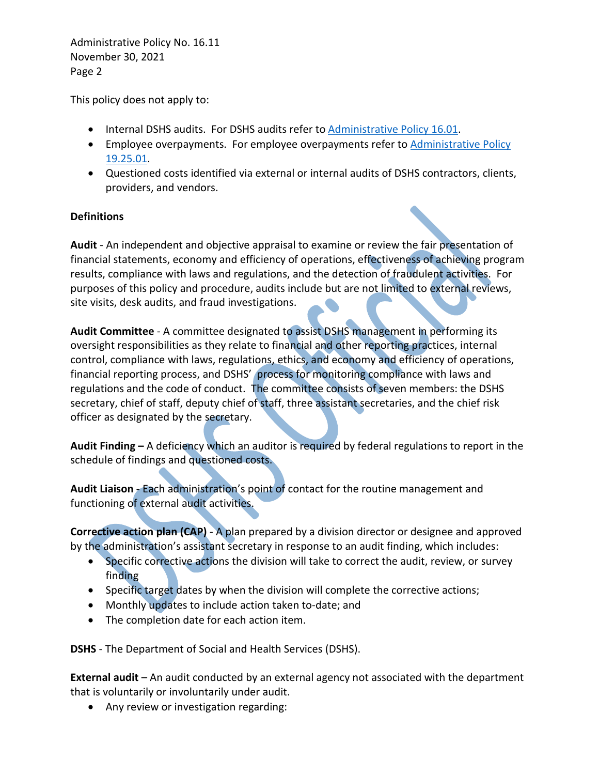This policy does not apply to:

- Internal DSHS audits. For DSHS audits refer to [Administrative Policy 16.01.](http://one.dshs.wa.lcl/Policies/Administrative/DSHS-AP-16-01.pdf)
- Employee overpayments. For employee overpayments refer to Administrative Policy [19.25.01.](http://one.dshs.wa.lcl/Policies/Administrative/DSHS-AP-19-25-01.pdf)
- Questioned costs identified via external or internal audits of DSHS contractors, clients, providers, and vendors.

### **Definitions**

**Audit** - An independent and objective appraisal to examine or review the fair presentation of financial statements, economy and efficiency of operations, effectiveness of achieving program results, compliance with laws and regulations, and the detection of fraudulent activities. For purposes of this policy and procedure, audits include but are not limited to external reviews, site visits, desk audits, and fraud investigations.

**Audit Committee** - A committee designated to assist DSHS management in performing its oversight responsibilities as they relate to financial and other reporting practices, internal control, compliance with laws, regulations, ethics, and economy and efficiency of operations, financial reporting process, and DSHS' process for monitoring compliance with laws and regulations and the code of conduct. The committee consists of seven members: the DSHS secretary, chief of staff, deputy chief of staff, three assistant secretaries, and the chief risk officer as designated by the secretary.

**Audit Finding –** A deficiency which an auditor is required by federal regulations to report in the schedule of findings and questioned costs.

**Audit Liaison -** Each administration's point of contact for the routine management and functioning of external audit activities.

**Corrective action plan (CAP)** - A plan prepared by a division director or designee and approved by the administration's assistant secretary in response to an audit finding, which includes:

- Specific corrective actions the division will take to correct the audit, review, or survey finding
- Specific target dates by when the division will complete the corrective actions;
- Monthly updates to include action taken to-date; and
- The completion date for each action item.

**DSHS** - The Department of Social and Health Services (DSHS).

**External audit** – An audit conducted by an external agency not associated with the department that is voluntarily or involuntarily under audit.

• Any review or investigation regarding: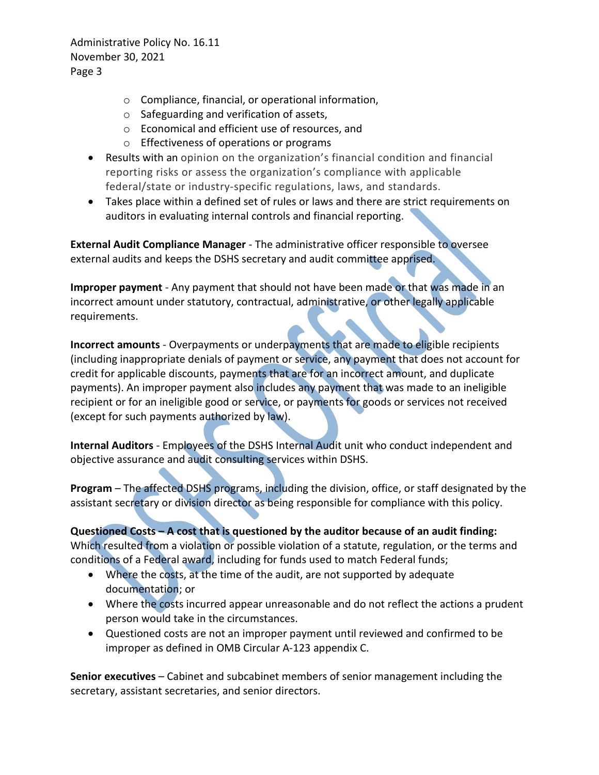- o Compliance, financial, or operational information,
- o Safeguarding and verification of assets,
- o Economical and efficient use of resources, and
- o Effectiveness of operations or programs
- Results with an opinion on the organization's financial condition and financial reporting risks or assess the organization's compliance with applicable federal/state or industry-specific regulations, laws, and standards.
- Takes place within a defined set of rules or laws and there are strict requirements on auditors in evaluating internal controls and financial reporting.

**External Audit Compliance Manager** - The administrative officer responsible to oversee external audits and keeps the DSHS secretary and audit committee apprised.

**Improper payment** - Any payment that should not have been made or that was made in an incorrect amount under statutory, contractual, administrative, or other legally applicable requirements.

**Incorrect amounts** - Overpayments or underpayments that are made to eligible recipients (including inappropriate denials of payment or service, any payment that does not account for credit for applicable discounts, payments that are for an incorrect amount, and duplicate payments). An improper payment also includes any payment that was made to an ineligible recipient or for an ineligible good or service, or payments for goods or services not received (except for such payments authorized by law).

**Internal Auditors** - Employees of the DSHS Internal Audit unit who conduct independent and objective assurance and audit consulting services within DSHS.

**Program** – The affected DSHS programs, including the division, office, or staff designated by the assistant secretary or division director as being responsible for compliance with this policy.

**Questioned Costs – A cost that is questioned by the auditor because of an audit finding:**  Which resulted from a violation or possible violation of a statute, regulation, or the terms and conditions of a Federal award, including for funds used to match Federal funds;

- Where the costs, at the time of the audit, are not supported by adequate documentation; or
- Where the costs incurred appear unreasonable and do not reflect the actions a prudent person would take in the circumstances.
- Questioned costs are not an improper payment until reviewed and confirmed to be improper as defined in OMB Circular A-123 appendix C.

**Senior executives** – Cabinet and subcabinet members of senior management including the secretary, assistant secretaries, and senior directors.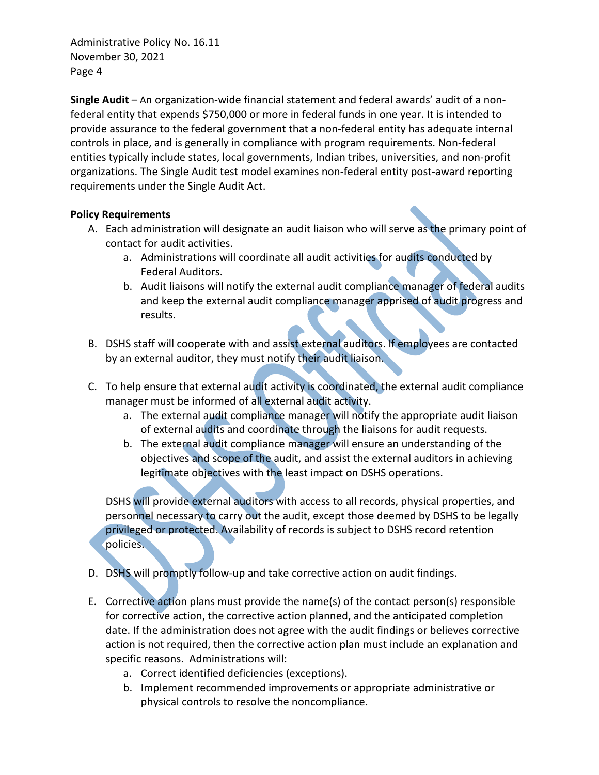**Single Audit** – An organization-wide financial statement and federal awards' audit of a nonfederal entity that expends \$750,000 or more in federal funds in one year. It is intended to provide assurance to the federal government that a non-federal entity has adequate internal controls in place, and is generally in compliance with program requirements. Non-federal entities typically include states, local governments, Indian tribes, universities, and non-profit organizations. The Single Audit test model examines non-federal entity post-award reporting requirements under the Single Audit Act.

## **Policy Requirements**

- A. Each administration will designate an audit liaison who will serve as the primary point of contact for audit activities.
	- a. Administrations will coordinate all audit activities for audits conducted by Federal Auditors.
	- b. Audit liaisons will notify the external audit compliance manager of federal audits and keep the external audit compliance manager apprised of audit progress and results.
- B. DSHS staff will cooperate with and assist external auditors. If employees are contacted by an external auditor, they must notify their audit liaison.
- C. To help ensure that external audit activity is coordinated, the external audit compliance manager must be informed of all external audit activity.
	- a. The external audit compliance manager will notify the appropriate audit liaison of external audits and coordinate through the liaisons for audit requests.
	- b. The external audit compliance manager will ensure an understanding of the objectives and scope of the audit, and assist the external auditors in achieving legitimate objectives with the least impact on DSHS operations.

DSHS will provide external auditors with access to all records, physical properties, and personnel necessary to carry out the audit, except those deemed by DSHS to be legally privileged or protected. Availability of records is subject to DSHS record retention policies.

- D. DSHS will promptly follow-up and take corrective action on audit findings.
- E. Corrective action plans must provide the name(s) of the contact person(s) responsible for corrective action, the corrective action planned, and the anticipated completion date. If the administration does not agree with the audit findings or believes corrective action is not required, then the corrective action plan must include an explanation and specific reasons. Administrations will:
	- a. Correct identified deficiencies (exceptions).
	- b. Implement recommended improvements or appropriate administrative or physical controls to resolve the noncompliance.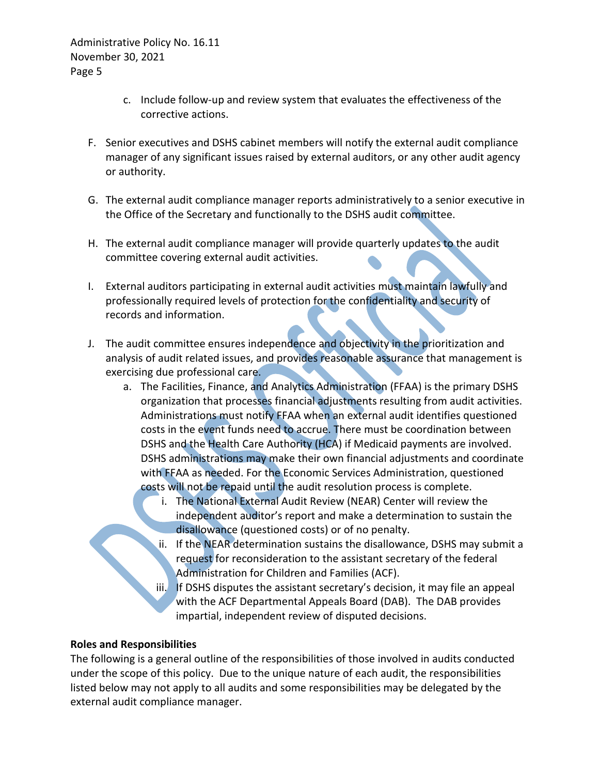- c. Include follow-up and review system that evaluates the effectiveness of the corrective actions.
- F. Senior executives and DSHS cabinet members will notify the external audit compliance manager of any significant issues raised by external auditors, or any other audit agency or authority.
- G. The external audit compliance manager reports administratively to a senior executive in the Office of the Secretary and functionally to the DSHS audit committee.
- H. The external audit compliance manager will provide quarterly updates to the audit committee covering external audit activities.
- I. External auditors participating in external audit activities must maintain lawfully and professionally required levels of protection for the confidentiality and security of records and information.
- J. The audit committee ensures independence and objectivity in the prioritization and analysis of audit related issues, and provides reasonable assurance that management is exercising due professional care.
	- a. The Facilities, Finance, and Analytics Administration (FFAA) is the primary DSHS organization that processes financial adjustments resulting from audit activities. Administrations must notify FFAA when an external audit identifies questioned costs in the event funds need to accrue. There must be coordination between DSHS and the Health Care Authority (HCA) if Medicaid payments are involved. DSHS administrations may make their own financial adjustments and coordinate with FFAA as needed. For the Economic Services Administration, questioned costs will not be repaid until the audit resolution process is complete.
		- i. The National External Audit Review (NEAR) Center will review the independent auditor's report and make a determination to sustain the disallowance (questioned costs) or of no penalty.
		- ii. If the NEAR determination sustains the disallowance, DSHS may submit a request for reconsideration to the assistant secretary of the federal Administration for Children and Families (ACF).
		- iii. If DSHS disputes the assistant secretary's decision, it may file an appeal with the ACF Departmental Appeals Board (DAB). The DAB provides impartial, independent review of disputed decisions.

### **Roles and Responsibilities**

The following is a general outline of the responsibilities of those involved in audits conducted under the scope of this policy. Due to the unique nature of each audit, the responsibilities listed below may not apply to all audits and some responsibilities may be delegated by the external audit compliance manager.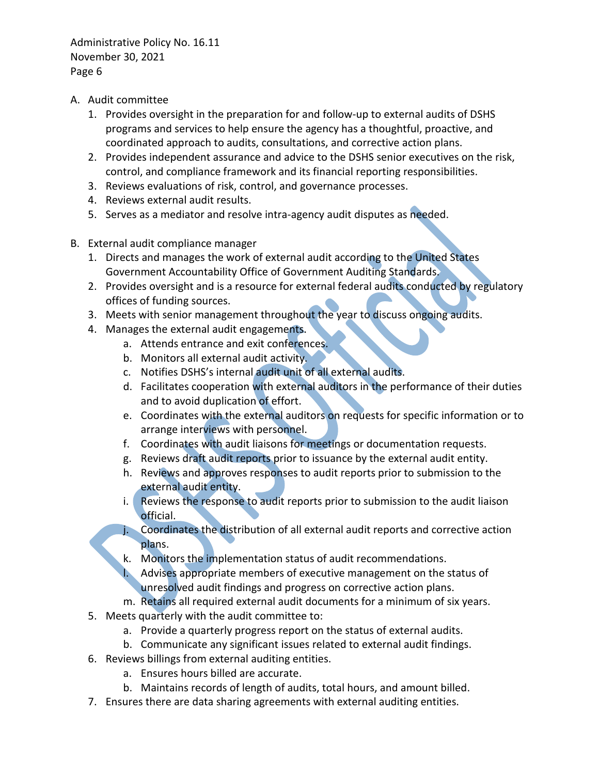- A. Audit committee
	- 1. Provides oversight in the preparation for and follow-up to external audits of DSHS programs and services to help ensure the agency has a thoughtful, proactive, and coordinated approach to audits, consultations, and corrective action plans.
	- 2. Provides independent assurance and advice to the DSHS senior executives on the risk, control, and compliance framework and its financial reporting responsibilities.
	- 3. Reviews evaluations of risk, control, and governance processes.
	- 4. Reviews external audit results.
	- 5. Serves as a mediator and resolve intra-agency audit disputes as needed.
- B. External audit compliance manager
	- 1. Directs and manages the work of external audit according to the United States Government Accountability Office of Government Auditing Standards.
	- 2. Provides oversight and is a resource for external federal audits conducted by regulatory offices of funding sources.
	- 3. Meets with senior management throughout the year to discuss ongoing audits.
	- 4. Manages the external audit engagements.
		- a. Attends entrance and exit conferences.
		- b. Monitors all external audit activity.
		- c. Notifies DSHS's internal audit unit of all external audits.
		- d. Facilitates cooperation with external auditors in the performance of their duties and to avoid duplication of effort.
		- e. Coordinates with the external auditors on requests for specific information or to arrange interviews with personnel.
		- f. Coordinates with audit liaisons for meetings or documentation requests.
		- g. Reviews draft audit reports prior to issuance by the external audit entity.
		- h. Reviews and approves responses to audit reports prior to submission to the external audit entity.
		- i. Reviews the response to audit reports prior to submission to the audit liaison official.
		- j. Coordinates the distribution of all external audit reports and corrective action plans.
		- k. Monitors the implementation status of audit recommendations.
			- Advises appropriate members of executive management on the status of unresolved audit findings and progress on corrective action plans.
		- m. Retains all required external audit documents for a minimum of six years.
	- 5. Meets quarterly with the audit committee to:
		- a. Provide a quarterly progress report on the status of external audits.
		- b. Communicate any significant issues related to external audit findings.
	- 6. Reviews billings from external auditing entities.
		- a. Ensures hours billed are accurate.
		- b. Maintains records of length of audits, total hours, and amount billed.
	- 7. Ensures there are data sharing agreements with external auditing entities.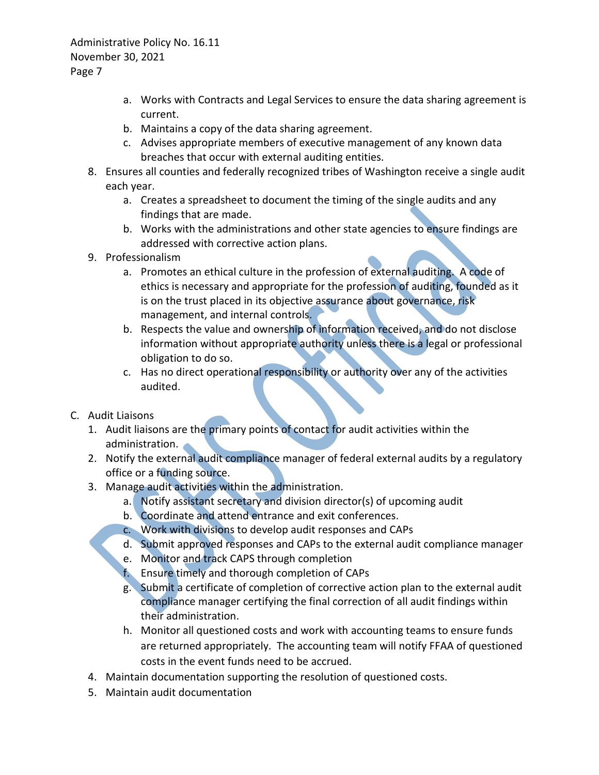- a. Works with Contracts and Legal Services to ensure the data sharing agreement is current.
- b. Maintains a copy of the data sharing agreement.
- c. Advises appropriate members of executive management of any known data breaches that occur with external auditing entities.
- 8. Ensures all counties and federally recognized tribes of Washington receive a single audit each year.
	- a. Creates a spreadsheet to document the timing of the single audits and any findings that are made.
	- b. Works with the administrations and other state agencies to ensure findings are addressed with corrective action plans.
- 9. Professionalism
	- a. Promotes an ethical culture in the profession of external auditing. A code of ethics is necessary and appropriate for the profession of auditing, founded as it is on the trust placed in its objective assurance about governance, risk management, and internal controls.
	- b. Respects the value and ownership of information received, and do not disclose information without appropriate authority unless there is a legal or professional obligation to do so.
	- c. Has no direct operational responsibility or authority over any of the activities audited.
- C. Audit Liaisons
	- 1. Audit liaisons are the primary points of contact for audit activities within the administration.
	- 2. Notify the external audit compliance manager of federal external audits by a regulatory office or a funding source.
	- 3. Manage audit activities within the administration.
		- a. Notify assistant secretary and division director(s) of upcoming audit
		- b. Coordinate and attend entrance and exit conferences.
		- c. Work with divisions to develop audit responses and CAPs
		- d. Submit approved responses and CAPs to the external audit compliance manager
		- e. Monitor and track CAPS through completion
		- f. Ensure timely and thorough completion of CAPs
		- g. Submit a certificate of completion of corrective action plan to the external audit compliance manager certifying the final correction of all audit findings within their administration.
		- h. Monitor all questioned costs and work with accounting teams to ensure funds are returned appropriately. The accounting team will notify FFAA of questioned costs in the event funds need to be accrued.
	- 4. Maintain documentation supporting the resolution of questioned costs.
	- 5. Maintain audit documentation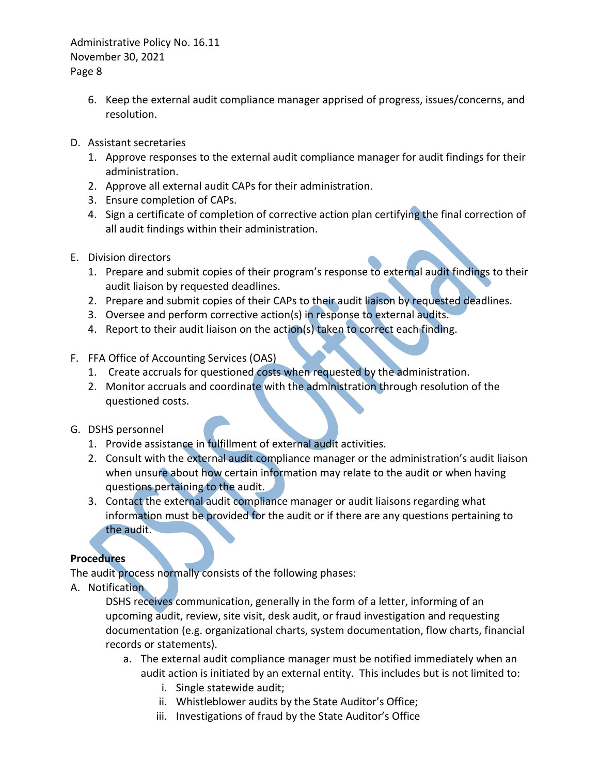- 6. Keep the external audit compliance manager apprised of progress, issues/concerns, and resolution.
- D. Assistant secretaries
	- 1. Approve responses to the external audit compliance manager for audit findings for their administration.
	- 2. Approve all external audit CAPs for their administration.
	- 3. Ensure completion of CAPs.
	- 4. Sign a certificate of completion of corrective action plan certifying the final correction of all audit findings within their administration.
- E. Division directors
	- 1. Prepare and submit copies of their program's response to external audit findings to their audit liaison by requested deadlines.
	- 2. Prepare and submit copies of their CAPs to their audit liaison by requested deadlines.
	- 3. Oversee and perform corrective action(s) in response to external audits.
	- 4. Report to their audit liaison on the action(s) taken to correct each finding.
- F. FFA Office of Accounting Services (OAS)
	- 1. Create accruals for questioned costs when requested by the administration.
	- 2. Monitor accruals and coordinate with the administration through resolution of the questioned costs.
- G. DSHS personnel
	- 1. Provide assistance in fulfillment of external audit activities.
	- 2. Consult with the external audit compliance manager or the administration's audit liaison when unsure about how certain information may relate to the audit or when having questions pertaining to the audit.
	- 3. Contact the external audit compliance manager or audit liaisons regarding what information must be provided for the audit or if there are any questions pertaining to the audit.

## **Procedures**

The audit process normally consists of the following phases:

A. Notification

DSHS receives communication, generally in the form of a letter, informing of an upcoming audit, review, site visit, desk audit, or fraud investigation and requesting documentation (e.g. organizational charts, system documentation, flow charts, financial records or statements).

- a. The external audit compliance manager must be notified immediately when an audit action is initiated by an external entity. This includes but is not limited to:
	- i. Single statewide audit;
	- ii. Whistleblower audits by the State Auditor's Office;
	- iii. Investigations of fraud by the State Auditor's Office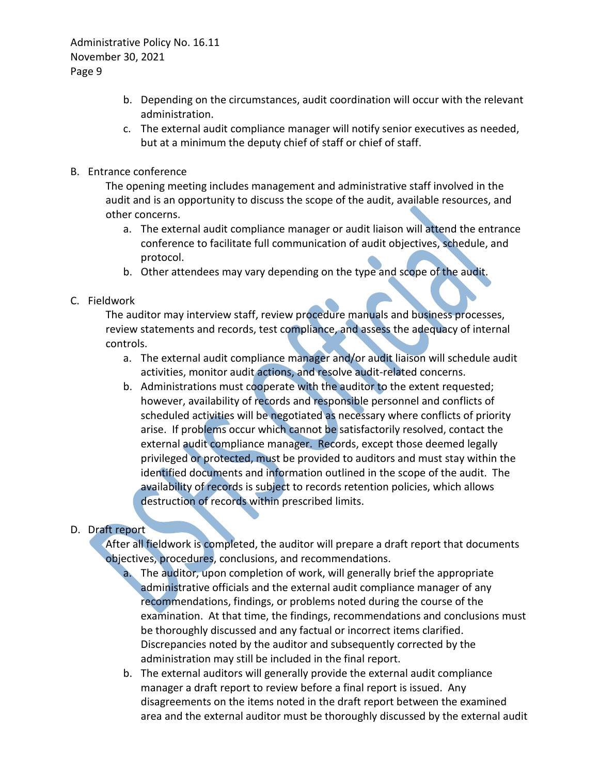- b. Depending on the circumstances, audit coordination will occur with the relevant administration.
- c. The external audit compliance manager will notify senior executives as needed, but at a minimum the deputy chief of staff or chief of staff.
- B. Entrance conference

The opening meeting includes management and administrative staff involved in the audit and is an opportunity to discuss the scope of the audit, available resources, and other concerns.

- a. The external audit compliance manager or audit liaison will attend the entrance conference to facilitate full communication of audit objectives, schedule, and protocol.
- b. Other attendees may vary depending on the type and scope of the audit.
- C. Fieldwork

The auditor may interview staff, review procedure manuals and business processes, review statements and records, test compliance, and assess the adequacy of internal controls.

- a. The external audit compliance manager and/or audit liaison will schedule audit activities, monitor audit actions, and resolve audit-related concerns.
- b. Administrations must cooperate with the auditor to the extent requested; however, availability of records and responsible personnel and conflicts of scheduled activities will be negotiated as necessary where conflicts of priority arise. If problems occur which cannot be satisfactorily resolved, contact the external audit compliance manager. Records, except those deemed legally privileged or protected, must be provided to auditors and must stay within the identified documents and information outlined in the scope of the audit. The availability of records is subject to records retention policies, which allows destruction of records within prescribed limits.

## D. Draft report

After all fieldwork is completed, the auditor will prepare a draft report that documents objectives, procedures, conclusions, and recommendations.

- a. The auditor, upon completion of work, will generally brief the appropriate administrative officials and the external audit compliance manager of any recommendations, findings, or problems noted during the course of the examination. At that time, the findings, recommendations and conclusions must be thoroughly discussed and any factual or incorrect items clarified. Discrepancies noted by the auditor and subsequently corrected by the administration may still be included in the final report.
- b. The external auditors will generally provide the external audit compliance manager a draft report to review before a final report is issued. Any disagreements on the items noted in the draft report between the examined area and the external auditor must be thoroughly discussed by the external audit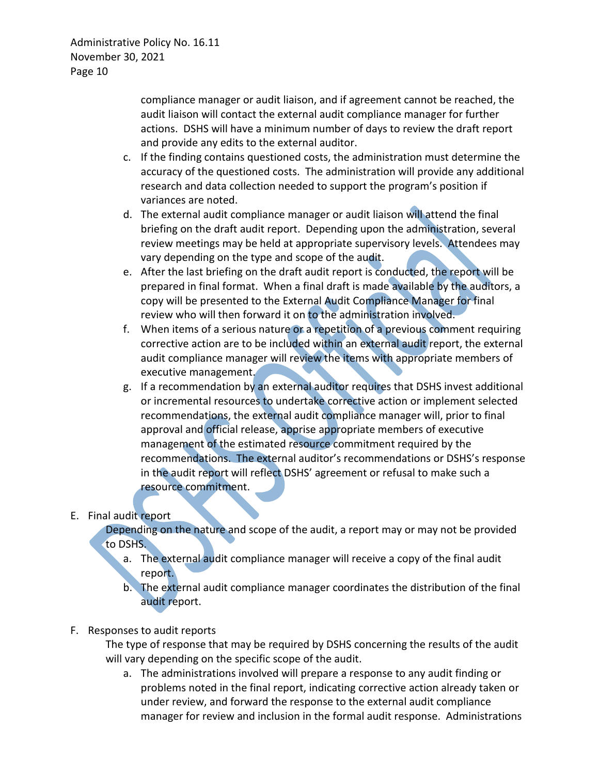compliance manager or audit liaison, and if agreement cannot be reached, the audit liaison will contact the external audit compliance manager for further actions. DSHS will have a minimum number of days to review the draft report and provide any edits to the external auditor.

- c. If the finding contains questioned costs, the administration must determine the accuracy of the questioned costs. The administration will provide any additional research and data collection needed to support the program's position if variances are noted.
- d. The external audit compliance manager or audit liaison will attend the final briefing on the draft audit report. Depending upon the administration, several review meetings may be held at appropriate supervisory levels. Attendees may vary depending on the type and scope of the audit.
- e. After the last briefing on the draft audit report is conducted, the report will be prepared in final format. When a final draft is made available by the auditors, a copy will be presented to the External Audit Compliance Manager for final review who will then forward it on to the administration involved.
- f. When items of a serious nature or a repetition of a previous comment requiring corrective action are to be included within an external audit report, the external audit compliance manager will review the items with appropriate members of executive management.
- g. If a recommendation by an external auditor requires that DSHS invest additional or incremental resources to undertake corrective action or implement selected recommendations, the external audit compliance manager will, prior to final approval and official release, apprise appropriate members of executive management of the estimated resource commitment required by the recommendations. The external auditor's recommendations or DSHS's response in the audit report will reflect DSHS' agreement or refusal to make such a resource commitment.

## E. Final audit report

Depending on the nature and scope of the audit, a report may or may not be provided to DSHS.

- a. The external audit compliance manager will receive a copy of the final audit report.
- b. The external audit compliance manager coordinates the distribution of the final audit report.
- F. Responses to audit reports

The type of response that may be required by DSHS concerning the results of the audit will vary depending on the specific scope of the audit.

a. The administrations involved will prepare a response to any audit finding or problems noted in the final report, indicating corrective action already taken or under review, and forward the response to the external audit compliance manager for review and inclusion in the formal audit response. Administrations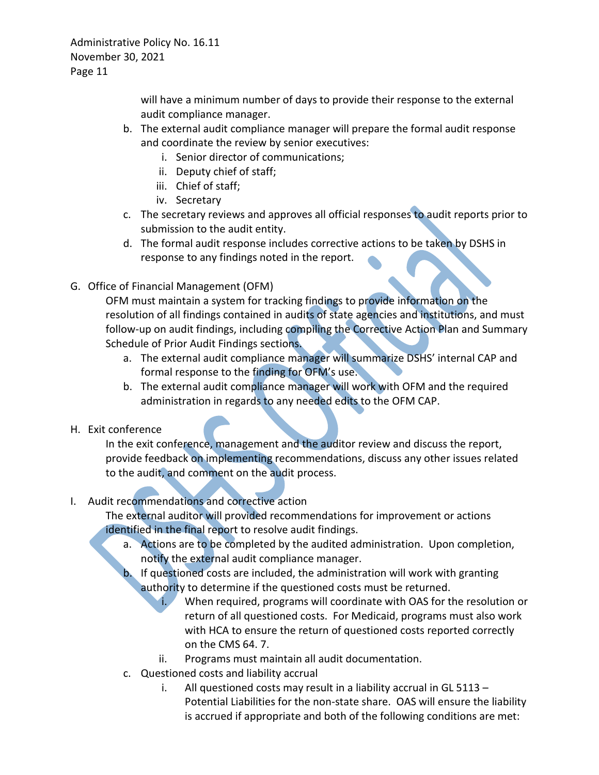> will have a minimum number of days to provide their response to the external audit compliance manager.

- b. The external audit compliance manager will prepare the formal audit response and coordinate the review by senior executives:
	- i. Senior director of communications;
	- ii. Deputy chief of staff;
	- iii. Chief of staff;
	- iv. Secretary
- c. The secretary reviews and approves all official responses to audit reports prior to submission to the audit entity.
- d. The formal audit response includes corrective actions to be taken by DSHS in response to any findings noted in the report.
- G. Office of Financial Management (OFM)

OFM must maintain a system for tracking findings to provide information on the resolution of all findings contained in audits of state agencies and institutions, and must follow-up on audit findings, including compiling the Corrective Action Plan and Summary Schedule of Prior Audit Findings sections.

- a. The external audit compliance manager will summarize DSHS' internal CAP and formal response to the finding for OFM's use.
- b. The external audit compliance manager will work with OFM and the required administration in regards to any needed edits to the OFM CAP.
- H. Exit conference

In the exit conference, management and the auditor review and discuss the report, provide feedback on implementing recommendations, discuss any other issues related to the audit, and comment on the audit process.

# I. Audit recommendations and corrective action

The external auditor will provided recommendations for improvement or actions identified in the final report to resolve audit findings.

- a. Actions are to be completed by the audited administration. Upon completion, notify the external audit compliance manager.
- b. If questioned costs are included, the administration will work with granting authority to determine if the questioned costs must be returned.
	- i. When required, programs will coordinate with OAS for the resolution or return of all questioned costs. For Medicaid, programs must also work with HCA to ensure the return of questioned costs reported correctly on the CMS 64. 7.
	- ii. Programs must maintain all audit documentation.
- c. Questioned costs and liability accrual
	- i. All questioned costs may result in a liability accrual in GL 5113 Potential Liabilities for the non-state share. OAS will ensure the liability is accrued if appropriate and both of the following conditions are met: